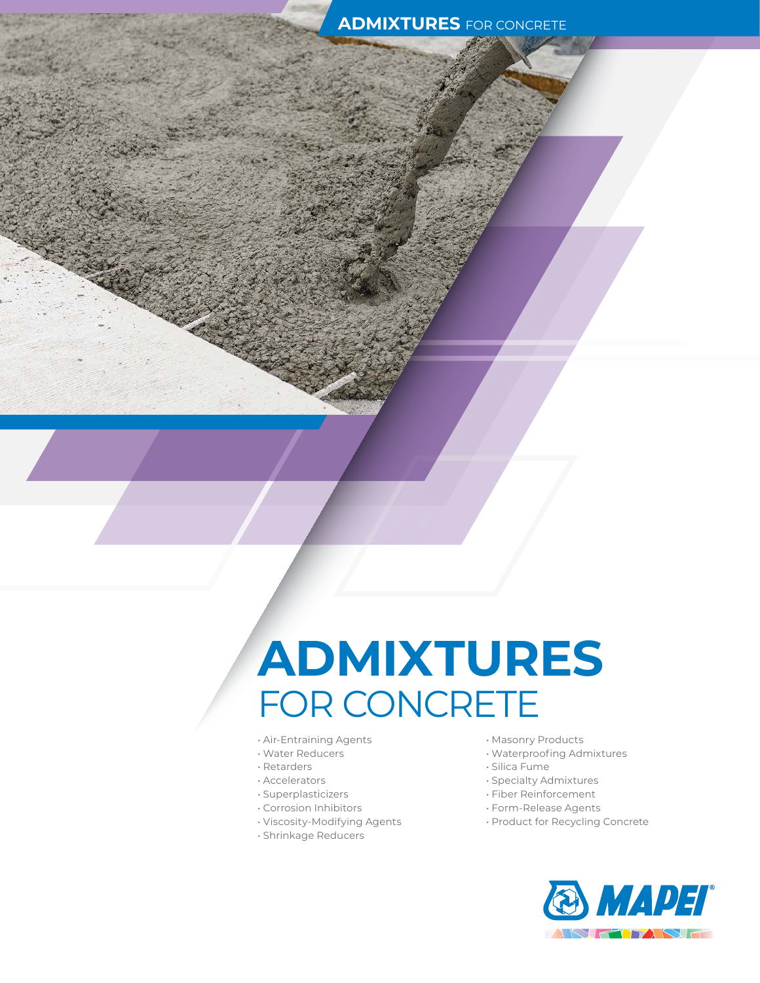# **ADMIXTURES** FOR CONCRETE

- Air-Entraining Agents
- Water Reducers
- Retarders
- Accelerators
- Superplasticizers
- Corrosion Inhibitors
- Viscosity-Modifying Agents
- Shrinkage Reducers
- Masonry Products
- Waterproofing Admixtures
- Silica Fume
- Specialty Admixtures
- Fiber Reinforcement
- Form-Release Agents
- Product for Recycling Concrete

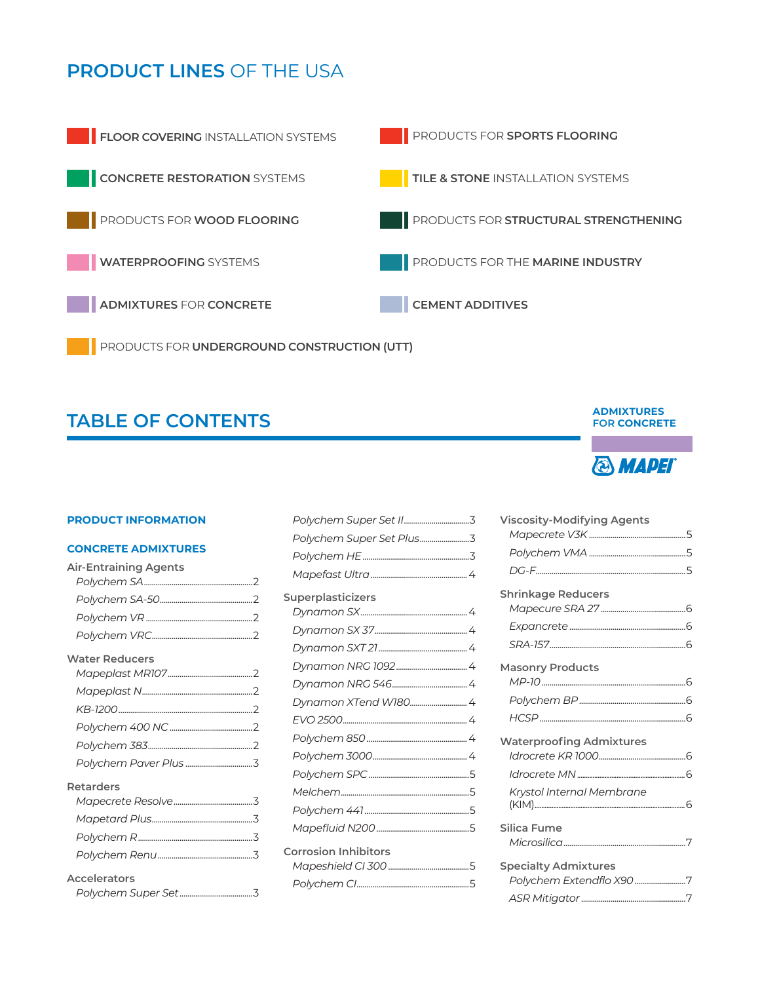# **PRODUCT LINES** OF THE USA



PRODUCTS FOR **UNDERGROUND CONSTRUCTION (UTT)**

# **TABLE OF CONTENTS**

#### **PRODUCT INFORMATION**

#### **CONCRETE ADMIXTURES**

| <b>Air-Entraining Agents</b> |  |
|------------------------------|--|
|                              |  |
|                              |  |
|                              |  |
|                              |  |
| <b>Water Reducers</b>        |  |
|                              |  |
|                              |  |
|                              |  |
|                              |  |
|                              |  |
|                              |  |
| Retarders                    |  |
|                              |  |
|                              |  |
|                              |  |
|                              |  |
| <b>Accelerators</b>          |  |
|                              |  |

| Polychem Super Set Plus3    |  |
|-----------------------------|--|
|                             |  |
|                             |  |
| <b>Superplasticizers</b>    |  |
|                             |  |
|                             |  |
|                             |  |
|                             |  |
|                             |  |
|                             |  |
|                             |  |
|                             |  |
|                             |  |
|                             |  |
|                             |  |
|                             |  |
|                             |  |
| <b>Corrosion Inhibitors</b> |  |
|                             |  |
|                             |  |
|                             |  |

#### **ADMIXTURES FOR CONCRETE**



| <b>Viscosity-Modifying Agents</b> |  |
|-----------------------------------|--|
|                                   |  |
|                                   |  |
|                                   |  |
| <b>Shrinkage Reducers</b>         |  |
|                                   |  |
|                                   |  |
|                                   |  |
| <b>Masonry Products</b>           |  |
|                                   |  |
|                                   |  |
|                                   |  |
| <b>Waterproofing Admixtures</b>   |  |
|                                   |  |
|                                   |  |
| Krystol Internal Membrane         |  |
|                                   |  |
| <b>Silica Fume</b>                |  |
|                                   |  |
| <b>Specialty Admixtures</b>       |  |
| Polychem Extendflo X907           |  |
|                                   |  |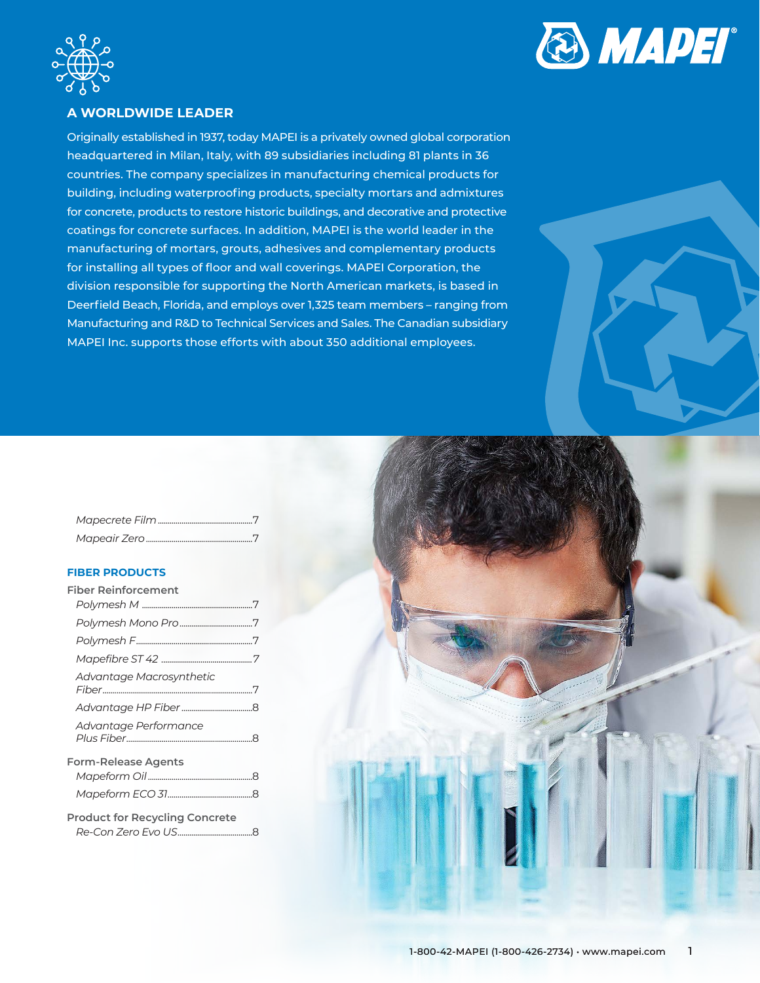



# **A WORLDWIDE LEADER**

Originally established in 1937, today MAPEI is a privately owned global corporation headquartered in Milan, Italy, with 89 subsidiaries including 81 plants in 36 countries. The company specializes in manufacturing chemical products for building, including waterproofing products, specialty mortars and admixtures for concrete, products to restore historic buildings, and decorative and protective coatings for concrete surfaces. In addition, MAPEI is the world leader in the manufacturing of mortars, grouts, adhesives and complementary products for installing all types of floor and wall coverings. MAPEI Corporation, the division responsible for supporting the North American markets, is based in Deerfield Beach, Florida, and employs over 1,325 team members – ranging from Manufacturing and R&D to Technical Services and Sales. The Canadian subsidiary MAPEI Inc. supports those efforts with about 350 additional employees.

# **FIBER PRODUCTS**

| Fiber Reinforcement                   |  |
|---------------------------------------|--|
|                                       |  |
|                                       |  |
|                                       |  |
|                                       |  |
| Advantage Macrosynthetic              |  |
|                                       |  |
| Advantage Performance                 |  |
| Form-Release Agents                   |  |
|                                       |  |
|                                       |  |
| <b>Product for Recycling Concrete</b> |  |
|                                       |  |

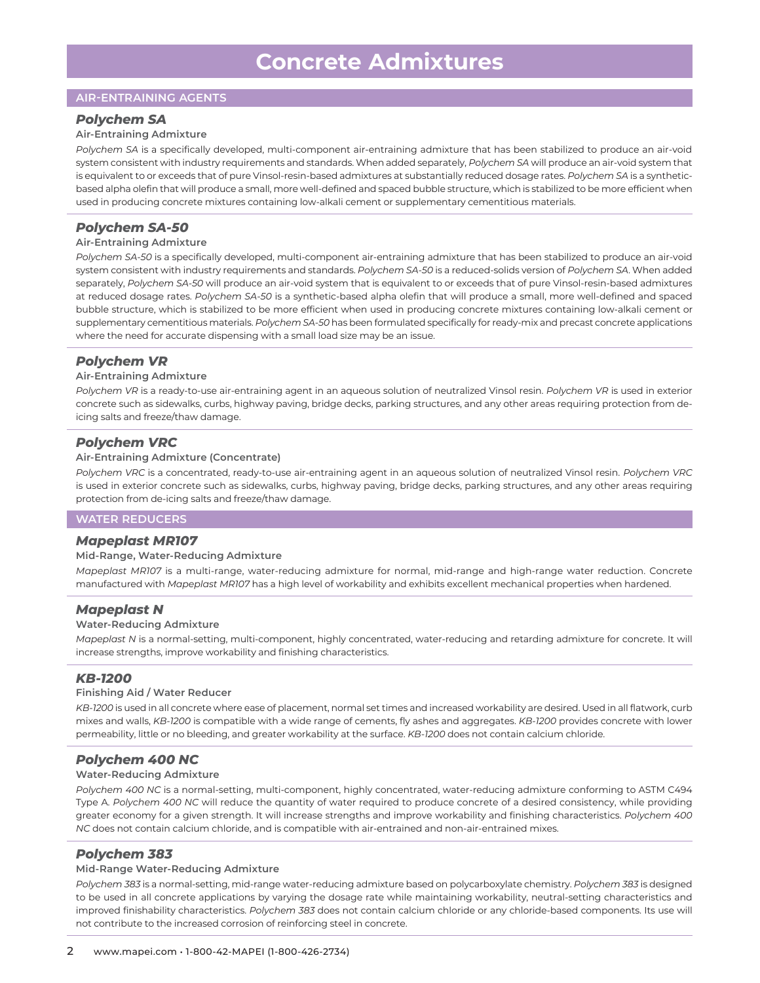# **AIR-ENTRAINING AGENTS**

# *Polychem SA*

#### **Air-Entraining Admixture**

*Polychem SA* is a specifically developed, multi-component air-entraining admixture that has been stabilized to produce an air-void system consistent with industry requirements and standards. When added separately, *Polychem SA* will produce an air-void system that is equivalent to or exceeds that of pure Vinsol-resin-based admixtures at substantially reduced dosage rates. *Polychem SA* is a syntheticbased alpha olefin that will produce a small, more well-defined and spaced bubble structure, which is stabilized to be more efficient when used in producing concrete mixtures containing low-alkali cement or supplementary cementitious materials.

# *Polychem SA-50*

#### **Air-Entraining Admixture**

*Polychem SA-50* is a specifically developed, multi-component air-entraining admixture that has been stabilized to produce an air-void system consistent with industry requirements and standards. *Polychem SA-50* is a reduced-solids version of *Polychem SA*. When added separately, *Polychem SA-50* will produce an air-void system that is equivalent to or exceeds that of pure Vinsol-resin-based admixtures at reduced dosage rates. *Polychem SA-50* is a synthetic-based alpha olefin that will produce a small, more well-defined and spaced bubble structure, which is stabilized to be more efficient when used in producing concrete mixtures containing low-alkali cement or supplementary cementitious materials. *Polychem SA-50* has been formulated specifically for ready-mix and precast concrete applications where the need for accurate dispensing with a small load size may be an issue.

# *Polychem VR*

#### **Air-Entraining Admixture**

*Polychem VR* is a ready-to-use air-entraining agent in an aqueous solution of neutralized Vinsol resin. *Polychem VR* is used in exterior concrete such as sidewalks, curbs, highway paving, bridge decks, parking structures, and any other areas requiring protection from deicing salts and freeze/thaw damage.

# *Polychem VRC*

#### **Air-Entraining Admixture (Concentrate)**

*Polychem VRC* is a concentrated, ready-to-use air-entraining agent in an aqueous solution of neutralized Vinsol resin. *Polychem VRC* is used in exterior concrete such as sidewalks, curbs, highway paving, bridge decks, parking structures, and any other areas requiring protection from de-icing salts and freeze/thaw damage.

# **WATER REDUCERS**

#### *Mapeplast MR107*

#### **Mid-Range, Water-Reducing Admixture**

*Mapeplast MR107* is a multi-range, water-reducing admixture for normal, mid-range and high-range water reduction. Concrete manufactured with *Mapeplast MR107* has a high level of workability and exhibits excellent mechanical properties when hardened.

#### *Mapeplast N*

#### **Water-Reducing Admixture**

*Mapeplast N* is a normal-setting, multi-component, highly concentrated, water-reducing and retarding admixture for concrete. It will increase strengths, improve workability and finishing characteristics.

# *KB-1200*

#### **Finishing Aid / Water Reducer**

*KB-1200* is used in all concrete where ease of placement, normal set times and increased workability are desired. Used in all flatwork, curb mixes and walls, *KB-1200* is compatible with a wide range of cements, fly ashes and aggregates. *KB-1200* provides concrete with lower permeability, little or no bleeding, and greater workability at the surface. *KB-1200* does not contain calcium chloride.

# *Polychem 400 NC*

#### **Water-Reducing Admixture**

*Polychem 400 NC* is a normal-setting, multi-component, highly concentrated, water-reducing admixture conforming to ASTM C494 Type A. *Polychem 400 NC* will reduce the quantity of water required to produce concrete of a desired consistency, while providing greater economy for a given strength. It will increase strengths and improve workability and finishing characteristics. *Polychem 400 NC* does not contain calcium chloride, and is compatible with air-entrained and non-air-entrained mixes.

#### *Polychem 383*

#### **Mid-Range Water-Reducing Admixture**

*Polychem 383* is a normal-setting, mid-range water-reducing admixture based on polycarboxylate chemistry. *Polychem 383* is designed to be used in all concrete applications by varying the dosage rate while maintaining workability, neutral-setting characteristics and improved finishability characteristics. *Polychem 383* does not contain calcium chloride or any chloride-based components. Its use will not contribute to the increased corrosion of reinforcing steel in concrete.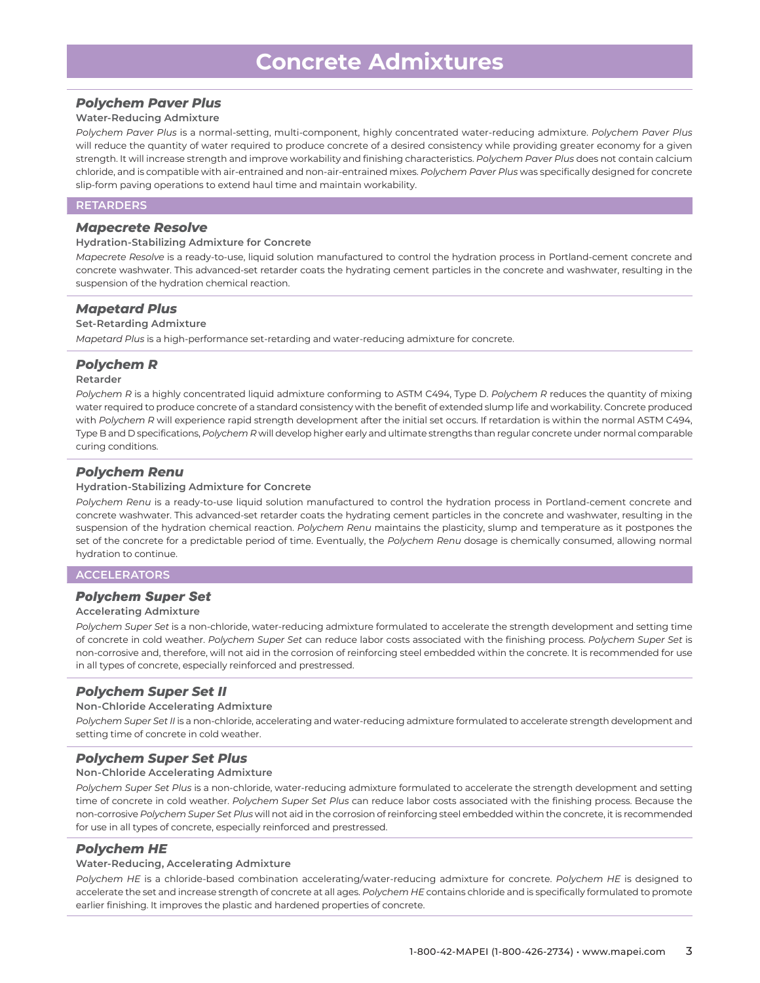# *Polychem Paver Plus*

#### **Water-Reducing Admixture**

*Polychem Paver Plus* is a normal-setting, multi-component, highly concentrated water-reducing admixture. *Polychem Paver Plus* will reduce the quantity of water required to produce concrete of a desired consistency while providing greater economy for a given strength. It will increase strength and improve workability and finishing characteristics. *Polychem Paver Plus* does not contain calcium chloride, and is compatible with air-entrained and non-air-entrained mixes. *Polychem Paver Plus* was specifically designed for concrete slip-form paving operations to extend haul time and maintain workability.

# **RETARDERS**

#### *Mapecrete Resolve*

#### **Hydration-Stabilizing Admixture for Concrete**

*Mapecrete Resolve* is a ready-to-use, liquid solution manufactured to control the hydration process in Portland-cement concrete and concrete washwater. This advanced-set retarder coats the hydrating cement particles in the concrete and washwater, resulting in the suspension of the hydration chemical reaction.

#### *Mapetard Plus*

#### **Set-Retarding Admixture**

*Mapetard Plus* is a high-performance set-retarding and water-reducing admixture for concrete.

# *Polychem R*

#### **Retarder**

*Polychem R* is a highly concentrated liquid admixture conforming to ASTM C494, Type D. *Polychem R* reduces the quantity of mixing water required to produce concrete of a standard consistency with the benefit of extended slump life and workability. Concrete produced with *Polychem R* will experience rapid strength development after the initial set occurs. If retardation is within the normal ASTM C494, Type B and D specifications, *Polychem R* will develop higher early and ultimate strengths than regular concrete under normal comparable curing conditions.

# *Polychem Renu*

#### **Hydration-Stabilizing Admixture for Concrete**

*Polychem Renu* is a ready-to-use liquid solution manufactured to control the hydration process in Portland-cement concrete and concrete washwater. This advanced-set retarder coats the hydrating cement particles in the concrete and washwater, resulting in the suspension of the hydration chemical reaction. *Polychem Renu* maintains the plasticity, slump and temperature as it postpones the set of the concrete for a predictable period of time. Eventually, the *Polychem Renu* dosage is chemically consumed, allowing normal hydration to continue.

#### **ACCELERATORS**

#### *Polychem Super Set*

#### **Accelerating Admixture**

*Polychem Super Set* is a non-chloride, water-reducing admixture formulated to accelerate the strength development and setting time of concrete in cold weather. *Polychem Super Set* can reduce labor costs associated with the finishing process. *Polychem Super Set* is non-corrosive and, therefore, will not aid in the corrosion of reinforcing steel embedded within the concrete. It is recommended for use in all types of concrete, especially reinforced and prestressed.

#### *Polychem Super Set II*

#### **Non-Chloride Accelerating Admixture**

*Polychem Super Set II* is a non-chloride, accelerating and water-reducing admixture formulated to accelerate strength development and setting time of concrete in cold weather.

# *Polychem Super Set Plus*

#### **Non-Chloride Accelerating Admixture**

*Polychem Super Set Plus* is a non-chloride, water-reducing admixture formulated to accelerate the strength development and setting time of concrete in cold weather. *Polychem Super Set Plus* can reduce labor costs associated with the finishing process. Because the non-corrosive *Polychem Super Set Plus* will not aid in the corrosion of reinforcing steel embedded within the concrete, it is recommended for use in all types of concrete, especially reinforced and prestressed.

# *Polychem HE*

#### **Water-Reducing, Accelerating Admixture**

*Polychem HE* is a chloride-based combination accelerating/water-reducing admixture for concrete. *Polychem HE* is designed to accelerate the set and increase strength of concrete at all ages. *Polychem HE* contains chloride and is specifically formulated to promote earlier finishing. It improves the plastic and hardened properties of concrete.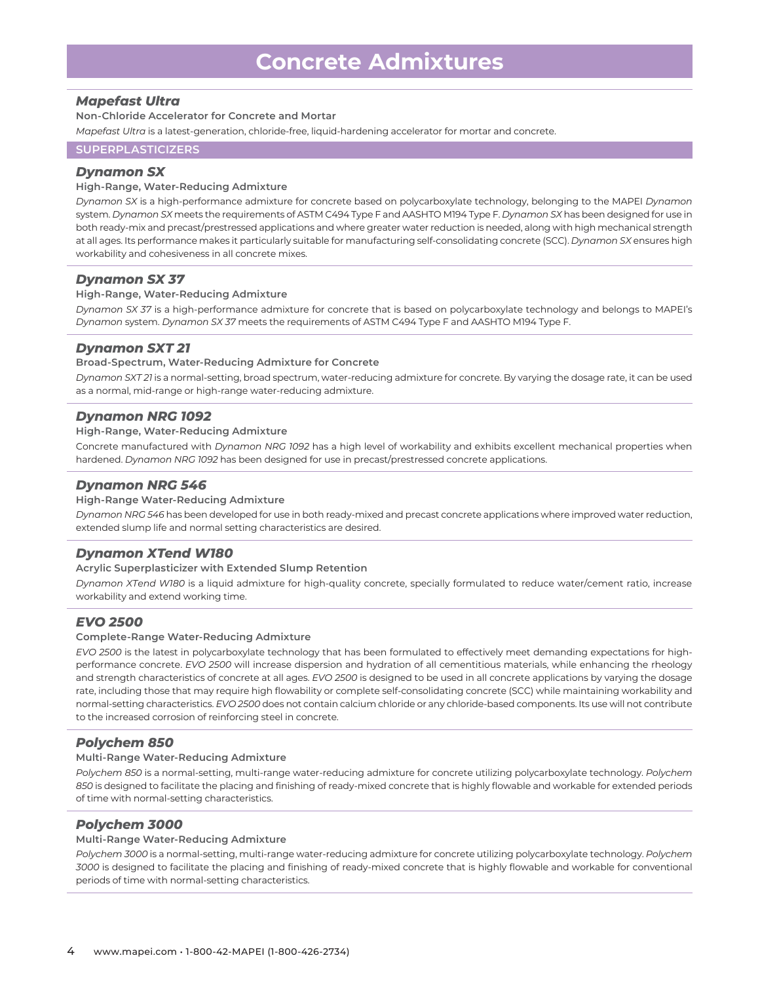# *Mapefast Ultra*

**Non-Chloride Accelerator for Concrete and Mortar**

*Mapefast Ultra* is a latest-generation, chloride-free, liquid-hardening accelerator for mortar and concrete.

# **SUPERPLASTICIZERS**

# *Dynamon SX*

#### **High-Range, Water-Reducing Admixture**

*Dynamon SX* is a high-performance admixture for concrete based on polycarboxylate technology, belonging to the MAPEI *Dynamon* system. *Dynamon SX* meets the requirements of ASTM C494 Type F and AASHTO M194 Type F. *Dynamon SX* has been designed for use in both ready-mix and precast/prestressed applications and where greater water reduction is needed, along with high mechanical strength at all ages. Its performance makes it particularly suitable for manufacturing self-consolidating concrete (SCC). *Dynamon SX* ensures high workability and cohesiveness in all concrete mixes.

# *Dynamon SX 37*

#### **High-Range, Water-Reducing Admixture**

*Dynamon SX 37* is a high-performance admixture for concrete that is based on polycarboxylate technology and belongs to MAPEI's *Dynamon* system. *Dynamon SX 37* meets the requirements of ASTM C494 Type F and AASHTO M194 Type F.

# *Dynamon SXT 21*

#### **Broad-Spectrum, Water-Reducing Admixture for Concrete**

*Dynamon SXT 21* is a normal-setting, broad spectrum, water-reducing admixture for concrete. By varying the dosage rate, it can be used as a normal, mid-range or high-range water-reducing admixture.

# *Dynamon NRG 1092*

#### **High-Range, Water-Reducing Admixture**

Concrete manufactured with *Dynamon NRG 1092* has a high level of workability and exhibits excellent mechanical properties when hardened. *Dynamon NRG 1092* has been designed for use in precast/prestressed concrete applications.

# *Dynamon NRG 546*

#### **High-Range Water-Reducing Admixture**

*Dynamon NRG 546* has been developed for use in both ready-mixed and precast concrete applications where improved water reduction, extended slump life and normal setting characteristics are desired.

# *Dynamon XTend W180*

#### **Acrylic Superplasticizer with Extended Slump Retention**

*Dynamon XTend W180* is a liquid admixture for high-quality concrete, specially formulated to reduce water/cement ratio, increase workability and extend working time.

# *EVO 2500*

#### **Complete-Range Water-Reducing Admixture**

*EVO 2500* is the latest in polycarboxylate technology that has been formulated to effectively meet demanding expectations for highperformance concrete. *EVO 2500* will increase dispersion and hydration of all cementitious materials, while enhancing the rheology and strength characteristics of concrete at all ages. *EVO 2500* is designed to be used in all concrete applications by varying the dosage rate, including those that may require high flowability or complete self-consolidating concrete (SCC) while maintaining workability and normal-setting characteristics. *EVO 2500* does not contain calcium chloride or any chloride-based components. Its use will not contribute to the increased corrosion of reinforcing steel in concrete.

# *Polychem 850*

#### **Multi-Range Water-Reducing Admixture**

*Polychem 850* is a normal-setting, multi-range water-reducing admixture for concrete utilizing polycarboxylate technology. *Polychem 850* is designed to facilitate the placing and finishing of ready-mixed concrete that is highly flowable and workable for extended periods of time with normal-setting characteristics.

# *Polychem 3000*

#### **Multi-Range Water-Reducing Admixture**

*Polychem 3000* is a normal-setting, multi-range water-reducing admixture for concrete utilizing polycarboxylate technology. *Polychem 3000* is designed to facilitate the placing and finishing of ready-mixed concrete that is highly flowable and workable for conventional periods of time with normal-setting characteristics.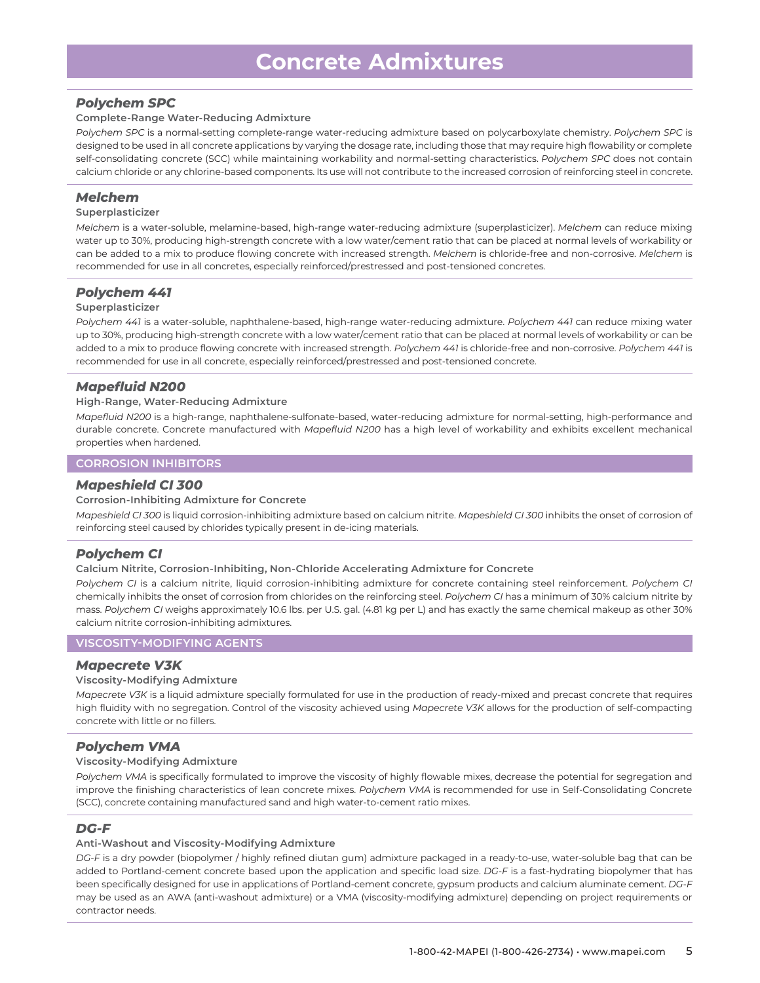# *Polychem SPC*

#### **Complete-Range Water-Reducing Admixture**

*Polychem SPC* is a normal-setting complete-range water-reducing admixture based on polycarboxylate chemistry. *Polychem SPC* is designed to be used in all concrete applications by varying the dosage rate, including those that may require high flowability or complete self-consolidating concrete (SCC) while maintaining workability and normal-setting characteristics. *Polychem SPC* does not contain calcium chloride or any chlorine-based components. Its use will not contribute to the increased corrosion of reinforcing steel in concrete.

# *Melchem*

#### **Superplasticizer**

*Melchem* is a water-soluble, melamine-based, high-range water-reducing admixture (superplasticizer). *Melchem* can reduce mixing water up to 30%, producing high-strength concrete with a low water/cement ratio that can be placed at normal levels of workability or can be added to a mix to produce flowing concrete with increased strength. *Melchem* is chloride-free and non-corrosive. *Melchem* is recommended for use in all concretes, especially reinforced/prestressed and post-tensioned concretes.

# *Polychem 441*

#### **Superplasticizer**

*Polychem 441* is a water-soluble, naphthalene-based, high-range water-reducing admixture. *Polychem 441* can reduce mixing water up to 30%, producing high-strength concrete with a low water/cement ratio that can be placed at normal levels of workability or can be added to a mix to produce flowing concrete with increased strength. *Polychem 441* is chloride-free and non-corrosive. *Polychem 441* is recommended for use in all concrete, especially reinforced/prestressed and post-tensioned concrete.

# *Mapefluid N200*

#### **High-Range, Water-Reducing Admixture**

*Mapefluid N200* is a high-range, naphthalene-sulfonate-based, water-reducing admixture for normal-setting, high-performance and durable concrete. Concrete manufactured with *Mapefluid N200* has a high level of workability and exhibits excellent mechanical properties when hardened.

#### **CORROSION INHIBITORS**

# *Mapeshield CI 300*

#### **Corrosion-Inhibiting Admixture for Concrete**

*Mapeshield CI 300* is liquid corrosion-inhibiting admixture based on calcium nitrite. *Mapeshield CI 300* inhibits the onset of corrosion of reinforcing steel caused by chlorides typically present in de-icing materials.

# *Polychem CI*

#### **Calcium Nitrite, Corrosion-Inhibiting, Non-Chloride Accelerating Admixture for Concrete**

*Polychem CI* is a calcium nitrite, liquid corrosion-inhibiting admixture for concrete containing steel reinforcement. *Polychem CI* chemically inhibits the onset of corrosion from chlorides on the reinforcing steel. *Polychem CI* has a minimum of 30% calcium nitrite by mass. *Polychem CI* weighs approximately 10.6 lbs. per U.S. gal. (4.81 kg per L) and has exactly the same chemical makeup as other 30% calcium nitrite corrosion-inhibiting admixtures.

#### **VISCOSITY-MODIFYING AGENTS**

#### *Mapecrete V3K*

#### **Viscosity-Modifying Admixture**

*Mapecrete V3K* is a liquid admixture specially formulated for use in the production of ready-mixed and precast concrete that requires high fluidity with no segregation. Control of the viscosity achieved using *Mapecrete V3K* allows for the production of self-compacting concrete with little or no fillers.

# *Polychem VMA*

#### **Viscosity-Modifying Admixture**

*Polychem VMA* is specifically formulated to improve the viscosity of highly flowable mixes, decrease the potential for segregation and improve the finishing characteristics of lean concrete mixes. *Polychem VMA* is recommended for use in Self-Consolidating Concrete (SCC), concrete containing manufactured sand and high water-to-cement ratio mixes.

# *DG-F*

#### **Anti-Washout and Viscosity-Modifying Admixture**

*DG-F* is a dry powder (biopolymer / highly refined diutan gum) admixture packaged in a ready-to-use, water-soluble bag that can be added to Portland-cement concrete based upon the application and specific load size. *DG-F* is a fast-hydrating biopolymer that has been specifically designed for use in applications of Portland-cement concrete, gypsum products and calcium aluminate cement. *DG-F* may be used as an AWA (anti-washout admixture) or a VMA (viscosity-modifying admixture) depending on project requirements or contractor needs.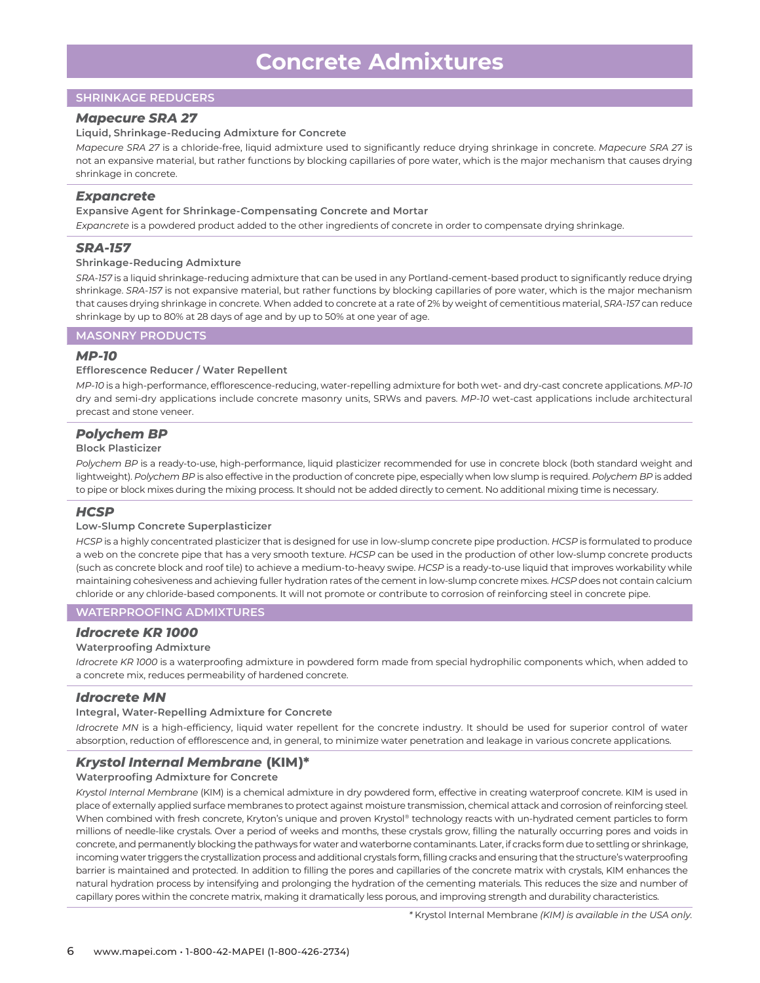# **SHRINKAGE REDUCERS**

#### *Mapecure SRA 27*

#### **Liquid, Shrinkage-Reducing Admixture for Concrete**

*Mapecure SRA 27* is a chloride-free, liquid admixture used to significantly reduce drying shrinkage in concrete. *Mapecure SRA 27* is not an expansive material, but rather functions by blocking capillaries of pore water, which is the major mechanism that causes drying shrinkage in concrete.

# *Expancrete*

#### **Expansive Agent for Shrinkage-Compensating Concrete and Mortar**

*Expancrete* is a powdered product added to the other ingredients of concrete in order to compensate drying shrinkage.

# *SRA-157*

#### **Shrinkage-Reducing Admixture**

*SRA-157* is a liquid shrinkage-reducing admixture that can be used in any Portland-cement-based product to significantly reduce drying shrinkage. *SRA-157* is not expansive material, but rather functions by blocking capillaries of pore water, which is the major mechanism that causes drying shrinkage in concrete. When added to concrete at a rate of 2% by weight of cementitious material, *SRA-157* can reduce shrinkage by up to 80% at 28 days of age and by up to 50% at one year of age.

# **MASONRY PRODUCTS**

#### *MP-10*

#### **Efflorescence Reducer / Water Repellent**

*MP-10* is a high-performance, efflorescence-reducing, water-repelling admixture for both wet- and dry-cast concrete applications. *MP-10* dry and semi-dry applications include concrete masonry units, SRWs and pavers. *MP-10* wet-cast applications include architectural precast and stone veneer.

# *Polychem BP*

#### **Block Plasticizer**

*Polychem BP* is a ready-to-use, high-performance, liquid plasticizer recommended for use in concrete block (both standard weight and lightweight). *Polychem BP* is also effective in the production of concrete pipe, especially when low slump is required. *Polychem BP* is added to pipe or block mixes during the mixing process. It should not be added directly to cement. No additional mixing time is necessary.

# *HCSP*

#### **Low-Slump Concrete Superplasticizer**

*HCSP* is a highly concentrated plasticizer that is designed for use in low-slump concrete pipe production. *HCSP* is formulated to produce a web on the concrete pipe that has a very smooth texture. *HCSP* can be used in the production of other low-slump concrete products (such as concrete block and roof tile) to achieve a medium-to-heavy swipe. *HCSP* is a ready-to-use liquid that improves workability while maintaining cohesiveness and achieving fuller hydration rates of the cement in low-slump concrete mixes. *HCSP* does not contain calcium chloride or any chloride-based components. It will not promote or contribute to corrosion of reinforcing steel in concrete pipe.

#### **WATERPROOFING ADMIXTURES**

#### *Idrocrete KR 1000*

#### **Waterproofing Admixture**

*Idrocrete KR 1000* is a waterproofing admixture in powdered form made from special hydrophilic components which, when added to a concrete mix, reduces permeability of hardened concrete.

#### *Idrocrete MN*

#### **Integral, Water-Repelling Admixture for Concrete**

*Idrocrete MN* is a high-efficiency, liquid water repellent for the concrete industry. It should be used for superior control of water absorption, reduction of efflorescence and, in general, to minimize water penetration and leakage in various concrete applications.

# *Krystol Internal Membrane* **(KIM)\***

#### **Waterproofing Admixture for Concrete**

*Krystol Internal Membrane* (KIM) is a chemical admixture in dry powdered form, effective in creating waterproof concrete. KIM is used in place of externally applied surface membranes to protect against moisture transmission, chemical attack and corrosion of reinforcing steel. When combined with fresh concrete, Kryton's unique and proven Krystol® technology reacts with un-hydrated cement particles to form millions of needle-like crystals. Over a period of weeks and months, these crystals grow, filling the naturally occurring pores and voids in concrete, and permanently blocking the pathways for water and waterborne contaminants. Later, if cracks form due to settling or shrinkage, incoming water triggers the crystallization process and additional crystals form, filling cracks and ensuring that the structure's waterproofing barrier is maintained and protected. In addition to filling the pores and capillaries of the concrete matrix with crystals, KIM enhances the natural hydration process by intensifying and prolonging the hydration of the cementing materials. This reduces the size and number of capillary pores within the concrete matrix, making it dramatically less porous, and improving strength and durability characteristics.

*\** Krystol Internal Membrane *(KIM) is available in the USA only.*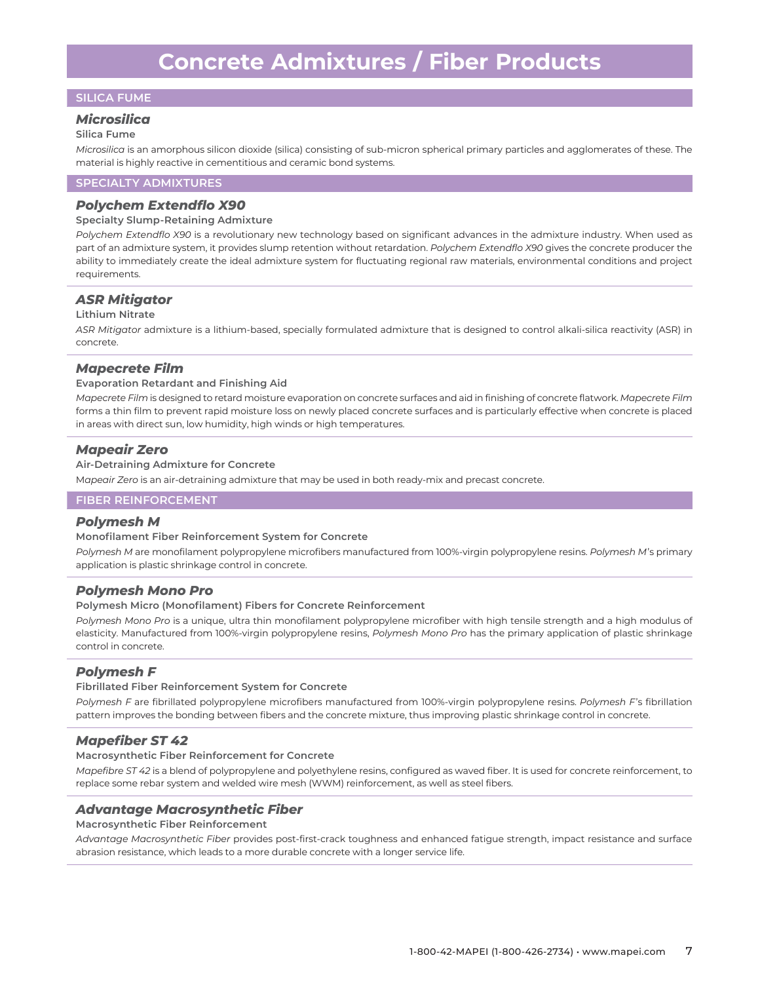# **SILICA FUME**

#### *Microsilica*

#### **Silica Fume**

*Microsilica* is an amorphous silicon dioxide (silica) consisting of sub-micron spherical primary particles and agglomerates of these. The material is highly reactive in cementitious and ceramic bond systems.

#### **SPECIALTY ADMIXTURES**

# *Polychem Extendflo X90*

#### **Specialty Slump-Retaining Admixture**

*Polychem Extendflo X90* is a revolutionary new technology based on significant advances in the admixture industry. When used as part of an admixture system, it provides slump retention without retardation. *Polychem Extendflo X90* gives the concrete producer the ability to immediately create the ideal admixture system for fluctuating regional raw materials, environmental conditions and project requirements.

# *ASR Mitigator*

#### **Lithium Nitrate**

*ASR Mitigator* admixture is a lithium-based, specially formulated admixture that is designed to control alkali-silica reactivity (ASR) in concrete.

#### *Mapecrete Film*

#### **Evaporation Retardant and Finishing Aid**

*Mapecrete Film* is designed to retard moisture evaporation on concrete surfaces and aid in finishing of concrete flatwork. *Mapecrete Film* forms a thin film to prevent rapid moisture loss on newly placed concrete surfaces and is particularly effective when concrete is placed in areas with direct sun, low humidity, high winds or high temperatures.

#### *Mapeair Zero*

#### **Air-Detraining Admixture for Concrete**

M*apeair Zero* is an air-detraining admixture that may be used in both ready-mix and precast concrete.

# **FIBER REINFORCEMENT**

#### *Polymesh M*

#### **Monofilament Fiber Reinforcement System for Concrete**

*Polymesh M* are monofilament polypropylene microfibers manufactured from 100%-virgin polypropylene resins. *Polymesh M*'s primary application is plastic shrinkage control in concrete.

#### *Polymesh Mono Pro*

#### **Polymesh Micro (Monofilament) Fibers for Concrete Reinforcement**

*Polymesh Mono Pro* is a unique, ultra thin monofilament polypropylene microfiber with high tensile strength and a high modulus of elasticity. Manufactured from 100%-virgin polypropylene resins, *Polymesh Mono Pro* has the primary application of plastic shrinkage control in concrete.

#### *Polymesh F*

#### **Fibrillated Fiber Reinforcement System for Concrete**

*Polymesh F* are fibrillated polypropylene microfibers manufactured from 100%-virgin polypropylene resins. *Polymesh F*'s fibrillation pattern improves the bonding between fibers and the concrete mixture, thus improving plastic shrinkage control in concrete.

#### *Mapefiber ST 42*

#### **Macrosynthetic Fiber Reinforcement for Concrete**

*Mapefibre ST 42* is a blend of polypropylene and polyethylene resins, configured as waved fiber. It is used for concrete reinforcement, to replace some rebar system and welded wire mesh (WWM) reinforcement, as well as steel fibers.

# *Advantage Macrosynthetic Fiber*

#### **Macrosynthetic Fiber Reinforcement**

*Advantage Macrosynthetic Fiber* provides post-first-crack toughness and enhanced fatigue strength, impact resistance and surface abrasion resistance, which leads to a more durable concrete with a longer service life.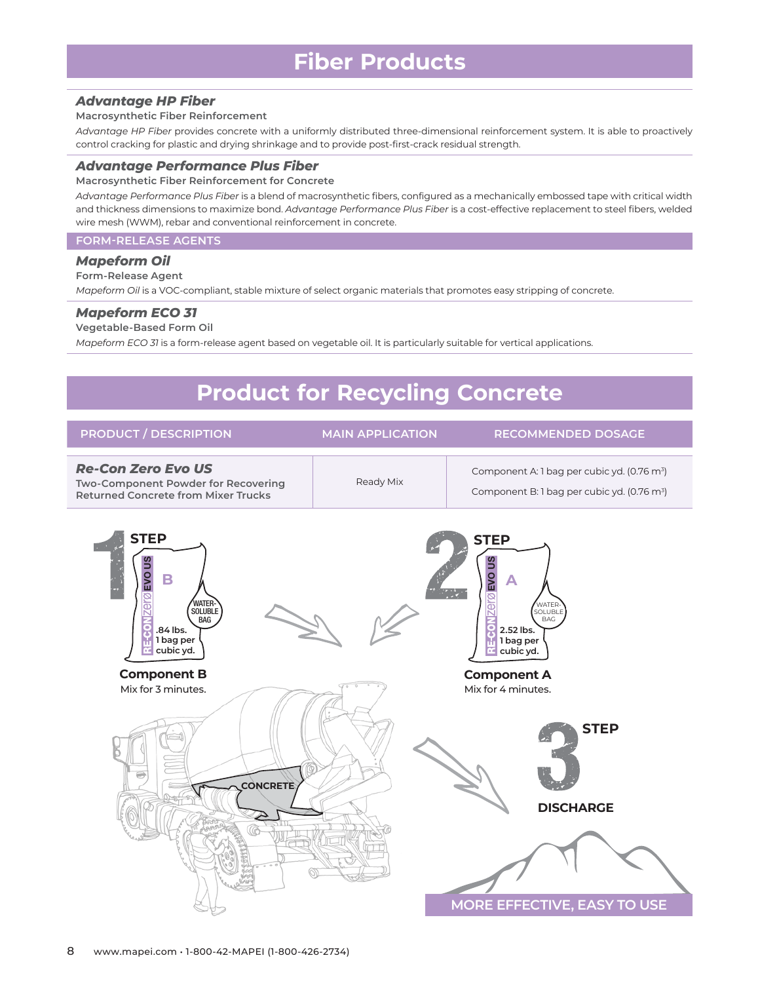# *Advantage HP Fiber*

#### **Macrosynthetic Fiber Reinforcement**

*Advantage HP Fiber* provides concrete with a uniformly distributed three-dimensional reinforcement system. It is able to proactively control cracking for plastic and drying shrinkage and to provide post-first-crack residual strength.

#### *Advantage Performance Plus Fiber*

**Macrosynthetic Fiber Reinforcement for Concrete**

*Advantage Performance Plus Fiber* is a blend of macrosynthetic fibers, configured as a mechanically embossed tape with critical width and thickness dimensions to maximize bond. *Advantage Performance Plus Fiber* is a cost-effective replacement to steel fibers, welded wire mesh (WWM), rebar and conventional reinforcement in concrete.

#### **FORM-RELEASE AGENTS**

#### *Mapeform Oil*

# **Form-Release Agent**

*Mapeform Oil* is a VOC-compliant, stable mixture of select organic materials that promotes easy stripping of concrete.

#### *Mapeform ECO 31*

#### **Vegetable-Based Form Oil**

*Mapeform ECO 31* is a form-release agent based on vegetable oil. It is particularly suitable for vertical applications.

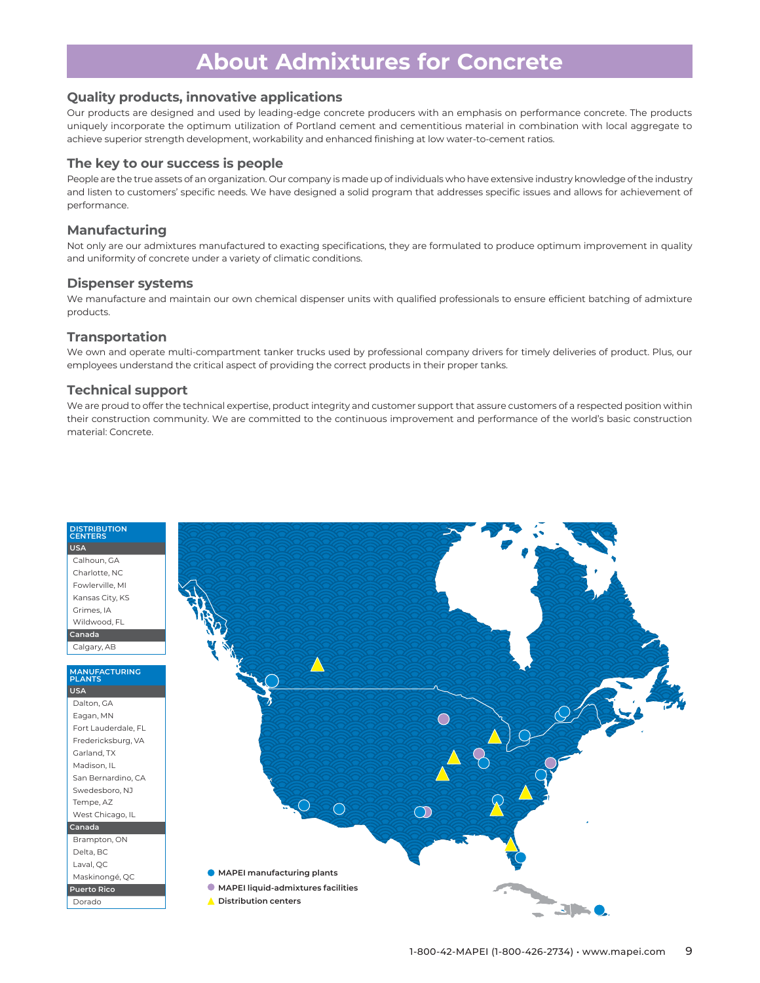# **About Admixtures for Concrete**

# **Quality products, innovative applications**

Our products are designed and used by leading-edge concrete producers with an emphasis on performance concrete. The products uniquely incorporate the optimum utilization of Portland cement and cementitious material in combination with local aggregate to achieve superior strength development, workability and enhanced finishing at low water-to-cement ratios.

# **The key to our success is people**

People are the true assets of an organization. Our company is made up of individuals who have extensive industry knowledge of the industry and listen to customers' specific needs. We have designed a solid program that addresses specific issues and allows for achievement of performance.

# **Manufacturing**

Not only are our admixtures manufactured to exacting specifications, they are formulated to produce optimum improvement in quality and uniformity of concrete under a variety of climatic conditions.

# **Dispenser systems**

We manufacture and maintain our own chemical dispenser units with qualified professionals to ensure efficient batching of admixture products.

# **Transportation**

We own and operate multi-compartment tanker trucks used by professional company drivers for timely deliveries of product. Plus, our employees understand the critical aspect of providing the correct products in their proper tanks.

# **Technical support**

We are proud to offer the technical expertise, product integrity and customer support that assure customers of a respected position within their construction community. We are committed to the continuous improvement and performance of the world's basic construction material: Concrete.